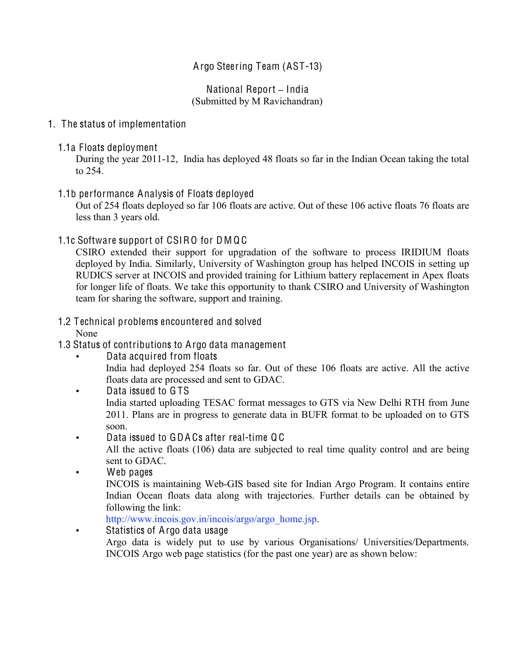# Argo Steering Team (AST-13)

#### National Report **–** India (Submitted by M Ravichandran)

### 1. The status of implementation

1.1a Floats deployment

During the year 2011-12, India has deployed 48 floats so far in the Indian Ocean taking the total to 254.

### 1.1b performance Analysis of Floats deployed

Out of 254 floats deployed so far 106 floats are active. Out of these 106 active floats 76 floats are less than 3 years old.

### 1.1c Software support of CSIRO for DMQC

CSIRO extended their support for upgradation of the software to process IRIDIUM floats deployed by India. Similarly, University of Washington group has helped INCOIS in setting up RUDICS server at INCOIS and provided training for Lithium battery replacement in Apex floats for longer life of floats. We take this opportunity to thank CSIRO and University of Washington team for sharing the software, support and training.

# 1.2 Technical problems encountered and solved

None

- 1.3 Status of contributions to Argo data management
	- Data acquired from floats

India had deployed 254 floats so far. Out of these 106 floats are active. All the active floats data are processed and sent to GDAC.

Data issued to GTS India started uploading TESAC format messages to GTS via New Delhi RTH from June 2011. Plans are in progress to generate data in BUFR format to be uploaded on to GTS soon.

• Data issued to GDA Cs after real-time Q C

All the active floats (106) data are subjected to real time quality control and are being sent to GDAC.

Web pages

INCOIS is maintaining Web-GIS based site for Indian Argo Program. It contains entire Indian Ocean floats data along with trajectories. Further details can be obtained by following the link:

http://www.incois.gov.in/incois/argo/argo\_home.jsp.

• Statistics of Argo data usage Argo data is widely put to use by various Organisations/ Universities/Departments. INCOIS Argo web page statistics (for the past one year) are as shown below: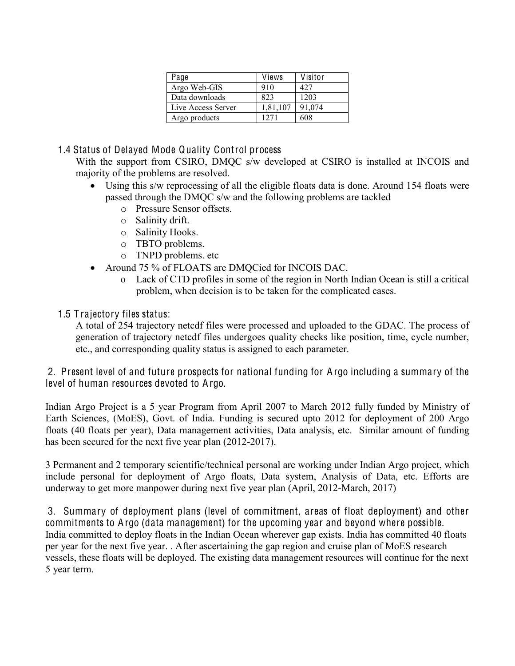| Page               | Views    | Visitor |
|--------------------|----------|---------|
| Argo Web-GIS       | 910      | 427     |
| Data downloads     | 823      | 1203    |
| Live Access Server | 1,81,107 | 91,074  |
| Argo products      | 1271     | 608     |

# 1.4 Status of Delayed Mode Quality Control process

With the support from CSIRO, DMQC s/w developed at CSIRO is installed at INCOIS and majority of the problems are resolved.

- Using this s/w reprocessing of all the eligible floats data is done. Around 154 floats were passed through the DMQC s/w and the following problems are tackled
	- o Pressure Sensor offsets.
	- o Salinity drift.
	- o Salinity Hooks.
	- o TBTO problems.
	- o TNPD problems. etc
- Around 75 % of FLOATS are DMQCied for INCOIS DAC.
	- o Lack of CTD profiles in some of the region in North Indian Ocean is still a critical problem, when decision is to be taken for the complicated cases.

# 1.5 T rajectory files status:

A total of 254 trajectory netcdf files were processed and uploaded to the GDAC. The process of generation of trajectory netcdf files undergoes quality checks like position, time, cycle number, etc., and corresponding quality status is assigned to each parameter.

2. Present level of and future prospects for national funding for Argo including a summary of the level of human resources devoted to Argo.

Indian Argo Project is a 5 year Program from April 2007 to March 2012 fully funded by Ministry of Earth Sciences, (MoES), Govt. of India. Funding is secured upto 2012 for deployment of 200 Argo floats (40 floats per year), Data management activities, Data analysis, etc. Similar amount of funding has been secured for the next five year plan (2012-2017).

3 Permanent and 2 temporary scientific/technical personal are working under Indian Argo project, which include personal for deployment of Argo floats, Data system, Analysis of Data, etc. Efforts are underway to get more manpower during next five year plan (April, 2012-March, 2017)

3. Summary of deployment plans (level of commitment, areas of float deployment) and other commitments to A rgo (data management) for the upcoming year and beyond where possible. India committed to deploy floats in the Indian Ocean wherever gap exists. India has committed 40 floats per year for the next five year. . After ascertaining the gap region and cruise plan of MoES research vessels, these floats will be deployed. The existing data management resources will continue for the next 5 year term.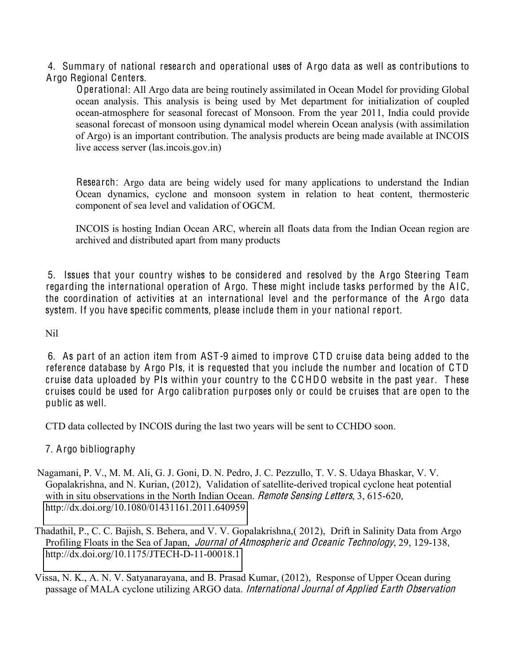4. Summary of national research and operational uses of Argo data as well as contributions to Argo Regional Centers.

Operational: All Argo data are being routinely assimilated in Ocean Model for providing Global ocean analysis. This analysis is being used by Met department for initialization of coupled ocean-atmosphere for seasonal forecast of Monsoon. From the year 2011, India could provide seasonal forecast of monsoon using dynamical model wherein Ocean analysis (with assimilation of Argo) is an important contribution. The analysis products are being made available at INCOIS live access server (las.incois.gov.in)

Research: Argo data are being widely used for many applications to understand the Indian Ocean dynamics, cyclone and monsoon system in relation to heat content, thermosteric component of sea level and validation of OGCM.

INCOIS is hosting Indian Ocean ARC, wherein all floats data from the Indian Ocean region are archived and distributed apart from many products

5. Issues that your country wishes to be considered and resolved by the Argo Steering Team regarding the international operation of Argo. These might include tasks performed by the AIC, the coordination of activities at an international level and the performance of the Argo data system. If you have specific comments, please include them in your national report.

Nil

6. As part of an action item from AST-9 aimed to improve C TD cruise data being added to the reference database by Argo PIs, it is requested that you include the number and location of C TD cruise data uploaded by PIs within your country to the C C HDO website in the past year. These cruises could be used for Argo calibration purposes only or could be cruises that are open to the public as well.

CTD data collected by INCOIS during the last two years will be sent to CCHDO soon.

7. Argo bibliography

- Nagamani, P. V., M. M. Ali, G. J. Goni, D. N. Pedro, J. C. Pezzullo, T. V. S. Udaya Bhaskar, V. V. Gopalakrishna, and N. Kurian, (2012), Validation of satellite-derived tropical cyclone heat potential with in situ observations in the North Indian Ocean. *Remote Sensing Letters*, 3, 615-620, <http://dx.doi.org/10.1080/01431161.2011.640959>
- Thadathil, P., C. C. Bajish, S. Behera, and V. V. Gopalakrishna,( 2012), Drift in Salinity Data from Argo Profiling Floats in the Sea of Japan, *Journal of Atmospheric and Oceanic Technology*, 29, 129-138, <http://dx.doi.org/10.1175/JTECH-D-11-00018.1>
- Vissa, N. K., A. N. V. Satyanarayana, and B. Prasad Kumar, (2012), Response of Upper Ocean during passage of MALA cyclone utilizing ARGO data. International Journal <sup>o</sup>f Applied Earth Observation